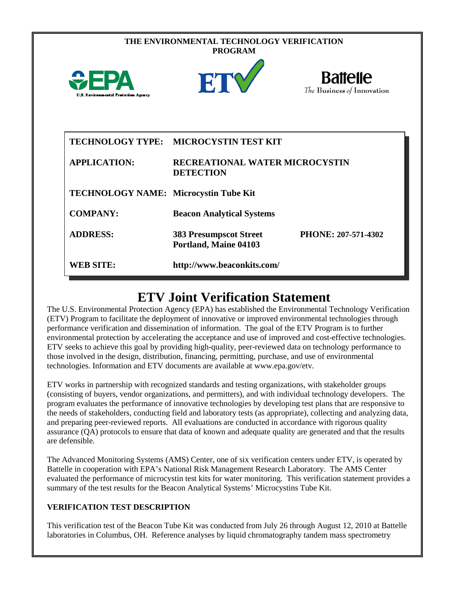| THE ENVIRONMENTAL TECHNOLOGY VERIFICATION<br><b>PROGRAM</b> |                                                           |                                               |  |  |
|-------------------------------------------------------------|-----------------------------------------------------------|-----------------------------------------------|--|--|
| WEPA<br>U.S. Environmental Protection Agency                | ET                                                        | <b>Battelle</b><br>The Business of Innovation |  |  |
| <b>TECHNOLOGY TYPE:</b>                                     | <b>MICROCYSTIN TEST KIT</b>                               |                                               |  |  |
| <b>APPLICATION:</b>                                         | <b>RECREATIONAL WATER MICROCYSTIN</b><br><b>DETECTION</b> |                                               |  |  |
| TECHNOLOGY NAME: Microcystin Tube Kit                       |                                                           |                                               |  |  |
| <b>COMPANY:</b>                                             | <b>Beacon Analytical Systems</b>                          |                                               |  |  |
| <b>ADDRESS:</b>                                             | <b>383 Presumpscot Street</b><br>Portland, Maine 04103    | PHONE: 207-571-4302                           |  |  |
| <b>WEB SITE:</b>                                            | http://www.beaconkits.com/                                |                                               |  |  |

# **ETV Joint Verification Statement**

The U.S. Environmental Protection Agency (EPA) has established the Environmental Technology Verification (ETV) Program to facilitate the deployment of innovative or improved environmental technologies through performance verification and dissemination of information. The goal of the ETV Program is to further environmental protection by accelerating the acceptance and use of improved and cost-effective technologies. ETV seeks to achieve this goal by providing high-quality, peer-reviewed data on technology performance to those involved in the design, distribution, financing, permitting, purchase, and use of environmental technologies. Information and ETV documents are available at www.epa.gov/etv.

ETV works in partnership with recognized standards and testing organizations, with stakeholder groups (consisting of buyers, vendor organizations, and permitters), and with individual technology developers. The program evaluates the performance of innovative technologies by developing test plans that are responsive to the needs of stakeholders, conducting field and laboratory tests (as appropriate), collecting and analyzing data, and preparing peer-reviewed reports. All evaluations are conducted in accordance with rigorous quality assurance (QA) protocols to ensure that data of known and adequate quality are generated and that the results are defensible.

The Advanced Monitoring Systems (AMS) Center, one of six verification centers under ETV, is operated by Battelle in cooperation with EPA's National Risk Management Research Laboratory. The AMS Center evaluated the performance of microcystin test kits for water monitoring. This verification statement provides a summary of the test results for the Beacon Analytical Systems' Microcystins Tube Kit.

## **VERIFICATION TEST DESCRIPTION**

This verification test of the Beacon Tube Kit was conducted from July 26 through August 12, 2010 at Battelle laboratories in Columbus, OH. Reference analyses by liquid chromatography tandem mass spectrometry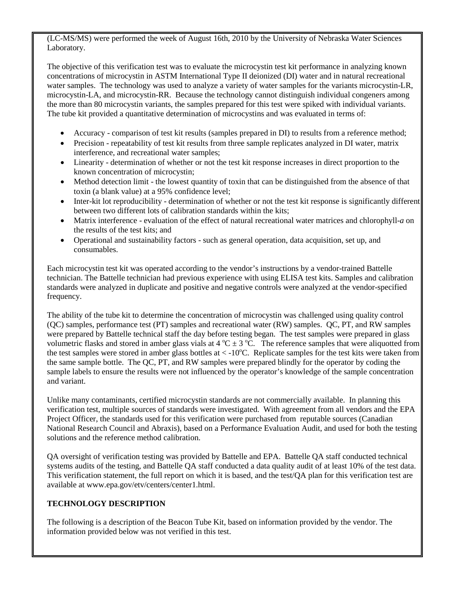(LC-MS/MS) were performed the week of August 16th, 2010 by the University of Nebraska Water Sciences Laboratory.

The objective of this verification test was to evaluate the microcystin test kit performance in analyzing known concentrations of microcystin in ASTM International Type II deionized (DI) water and in natural recreational water samples. The technology was used to analyze a variety of water samples for the variants microcystin-LR, microcystin-LA, and microcystin-RR. Because the technology cannot distinguish individual congeners among the more than 80 microcystin variants, the samples prepared for this test were spiked with individual variants. The tube kit provided a quantitative determination of microcystins and was evaluated in terms of:

- Accuracy comparison of test kit results (samples prepared in DI) to results from a reference method;
- Precision repeatability of test kit results from three sample replicates analyzed in DI water, matrix interference, and recreational water samples;
- Linearity determination of whether or not the test kit response increases in direct proportion to the known concentration of microcystin;
- Method detection limit the lowest quantity of toxin that can be distinguished from the absence of that toxin (a blank value) at a 95% confidence level;
- Inter-kit lot reproducibility determination of whether or not the test kit response is significantly different between two different lots of calibration standards within the kits;
- Matrix interference evaluation of the effect of natural recreational water matrices and chlorophyll-*a* on the results of the test kits; and
- Operational and sustainability factors such as general operation, data acquisition, set up, and consumables.

Each microcystin test kit was operated according to the vendor's instructions by a vendor-trained Battelle technician. The Battelle technician had previous experience with using ELISA test kits. Samples and calibration standards were analyzed in duplicate and positive and negative controls were analyzed at the vendor-specified frequency.

The ability of the tube kit to determine the concentration of microcystin was challenged using quality control (QC) samples, performance test (PT) samples and recreational water (RW) samples. QC, PT, and RW samples were prepared by Battelle technical staff the day before testing began. The test samples were prepared in glass volumetric flasks and stored in amber glass vials at  $4^{\circ}C \pm 3^{\circ}C$ . The reference samples that were aliquotted from the test samples were stored in amber glass bottles at  $\lt$  -10°C. Replicate samples for the test kits were taken from the same sample bottle. The QC, PT, and RW samples were prepared blindly for the operator by coding the sample labels to ensure the results were not influenced by the operator's knowledge of the sample concentration and variant.

Unlike many contaminants, certified microcystin standards are not commercially available. In planning this verification test, multiple sources of standards were investigated. With agreement from all vendors and the EPA Project Officer, the standards used for this verification were purchased from reputable sources (Canadian National Research Council and Abraxis), based on a Performance Evaluation Audit, and used for both the testing solutions and the reference method calibration.

QA oversight of verification testing was provided by Battelle and EPA. Battelle QA staff conducted technical systems audits of the testing, and Battelle QA staff conducted a data quality audit of at least 10% of the test data. This verification statement, the full report on which it is based, and the test/QA plan for this verification test are available at www.epa.gov/etv/centers/center1.html.

### **TECHNOLOGY DESCRIPTION**

The following is a description of the Beacon Tube Kit, based on information provided by the vendor. The information provided below was not verified in this test.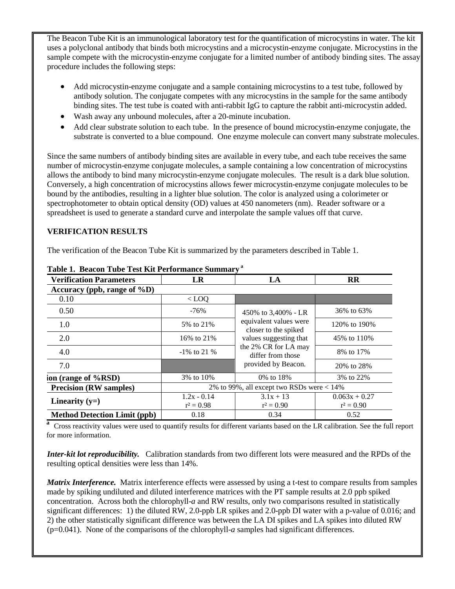The Beacon Tube Kit is an immunological laboratory test for the quantification of microcystins in water. The kit uses a polyclonal antibody that binds both microcystins and a microcystin-enzyme conjugate. Microcystins in the sample compete with the microcystin-enzyme conjugate for a limited number of antibody binding sites. The assay procedure includes the following steps:

- Add microcystin-enzyme conjugate and a sample containing microcystins to a test tube, followed by antibody solution. The conjugate competes with any microcystins in the sample for the same antibody binding sites. The test tube is coated with anti-rabbit IgG to capture the rabbit anti-microcystin added.
- Wash away any unbound molecules, after a 20-minute incubation.
- Add clear substrate solution to each tube. In the presence of bound microcystin-enzyme conjugate, the substrate is converted to a blue compound. One enzyme molecule can convert many substrate molecules.

Since the same numbers of antibody binding sites are available in every tube, and each tube receives the same number of microcystin-enzyme conjugate molecules, a sample containing a low concentration of microcystins allows the antibody to bind many microcystin-enzyme conjugate molecules. The result is a dark blue solution. Conversely, a high concentration of microcystins allows fewer microcystin-enzyme conjugate molecules to be bound by the antibodies, resulting in a lighter blue solution. The color is analyzed using a colorimeter or spectrophotometer to obtain optical density (OD) values at 450 nanometers (nm). Reader software or a spreadsheet is used to generate a standard curve and interpolate the sample values off that curve.

### **VERIFICATION RESULTS**

The verification of the Beacon Tube Kit is summarized by the parameters described in Table 1.

| <b>Verification Parameters</b>      | LR                                           | LA                                             | $\mathbf{R}$    |
|-------------------------------------|----------------------------------------------|------------------------------------------------|-----------------|
| Accuracy (ppb, range of $\%D$ )     |                                              |                                                |                 |
| 0.10                                | $<$ LOQ                                      |                                                |                 |
| 0.50                                | $-76%$                                       | 450% to 3,400% - LR                            | 36% to 63%      |
| 1.0                                 | 5% to 21%                                    | equivalent values were<br>closer to the spiked | 120% to 190%    |
| 2.0                                 | 16\% to 21\%                                 | values suggesting that                         | 45% to 110%     |
| 4.0                                 | $-1\%$ to 21 %                               | the 2% CR for LA may<br>differ from those      | 8% to 17%       |
| 7.0                                 |                                              | provided by Beacon.                            | 20\% to 28\%    |
| ion (range of %RSD)                 | 3% to 10%                                    | 0\% to 18\%                                    | 3% to 22%       |
| <b>Precision (RW samples)</b>       | 2% to 99%, all except two RSDs were $< 14\%$ |                                                |                 |
| Linearity $(y=)$                    | $1.2x - 0.14$                                | $3.1x + 13$                                    | $0.063x + 0.27$ |
|                                     | $r^2 = 0.98$                                 | $r^2 = 0.90$                                   | $r^2 = 0.90$    |
| <b>Method Detection Limit (ppb)</b> | 0.18                                         | 0.34                                           | 0.52            |

#### **Table 1. Beacon Tube Test Kit Performance Summary <sup>a</sup>**

**<sup>a</sup>**Cross reactivity values were used to quantify results for different variants based on the LR calibration. See the full report for more information.

*Inter-kit lot reproducibility.* Calibration standards from two different lots were measured and the RPDs of the resulting optical densities were less than 14%.

*Matrix Interference.* Matrix interference effects were assessed by using a t-test to compare results from samples made by spiking undiluted and diluted interference matrices with the PT sample results at 2.0 ppb spiked concentration. Across both the chlorophyll-*a* and RW results, only two comparisons resulted in statistically significant differences: 1) the diluted RW, 2.0-ppb LR spikes and 2.0-ppb DI water with a p-value of 0.016; and 2) the other statistically significant difference was between the LA DI spikes and LA spikes into diluted RW (p=0.041). None of the comparisons of the chlorophyll-*a* samples had significant differences.